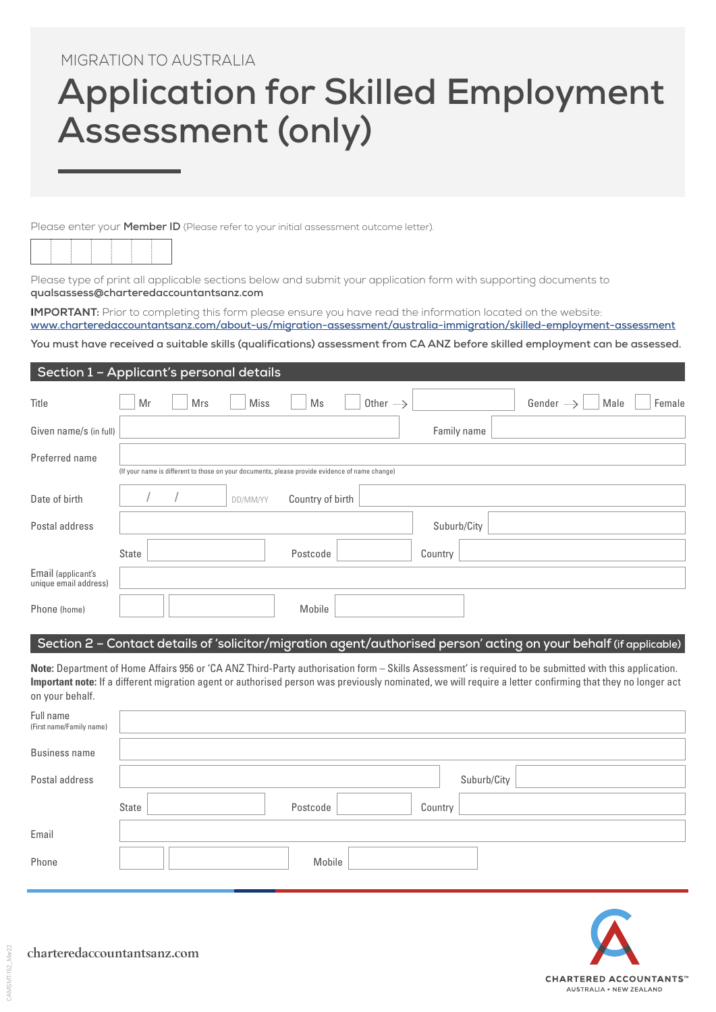# MIGRATION TO AUSTRALIA

# **Application for Skilled Employment Assessment (only)**

Please enter your **Member ID** (Please refer to your initial assessment outcome letter).



Please type of print all applicable sections below and submit your application form with supporting documents to **[qualsassess@charteredaccountantsanz.com](mailto:qualsassess@charteredaccountantsanz.com)**

**IMPORTANT:** Prior to completing this form please ensure you have read the information located on the website: **[www.charteredaccountantsanz.com/about-us/migration-assessment/australia-immigration/skilled-employment-assessment](https://www.charteredaccountantsanz.com/about-us/migration-assessment/australia-immigration/skilled-employment-assessment)**

**You must have received a suitable skills (qualifications) assessment from CA ANZ before skilled employment can be assessed.**

# **Section 1 – Applicant's personal details**

| Title                                       | Mr    | Mrs | Miss     | Ms                                                                                             | Other $\longrightarrow$ |             |             | Gender -----> | Male | Female |
|---------------------------------------------|-------|-----|----------|------------------------------------------------------------------------------------------------|-------------------------|-------------|-------------|---------------|------|--------|
| Given name/s (in full)                      |       |     |          |                                                                                                |                         |             | Family name |               |      |        |
| Preferred name                              |       |     |          | (If your name is different to those on your documents, please provide evidence of name change) |                         |             |             |               |      |        |
| Date of birth                               |       |     | DD/MM/YY | Country of birth                                                                               |                         |             |             |               |      |        |
| Postal address                              |       |     |          |                                                                                                |                         | Suburb/City |             |               |      |        |
|                                             | State |     |          | Postcode                                                                                       |                         | Country     |             |               |      |        |
| Email (applicant's<br>unique email address) |       |     |          |                                                                                                |                         |             |             |               |      |        |
| Phone (home)                                |       |     |          | Mobile                                                                                         |                         |             |             |               |      |        |

### **Section 2 – Contact details of 'solicitor/migration agent/authorised person' acting on your behalf (if applicable)**

**Note:** Department of Home Affairs 956 or 'CA ANZ Third-Party authorisation form – Skills Assessment' is required to be submitted with this application. **Important note:** If a different migration agent or authorised person was previously nominated, we will require a letter confirming that they no longer act on your behalf.

| Full name<br>(First name/Family name) |       |          |        |         |             |
|---------------------------------------|-------|----------|--------|---------|-------------|
| <b>Business name</b>                  |       |          |        |         |             |
| Postal address                        |       |          |        |         | Suburb/City |
|                                       | State | Postcode |        | Country |             |
| Email                                 |       |          |        |         |             |
| Phone                                 |       |          | Mobile |         |             |

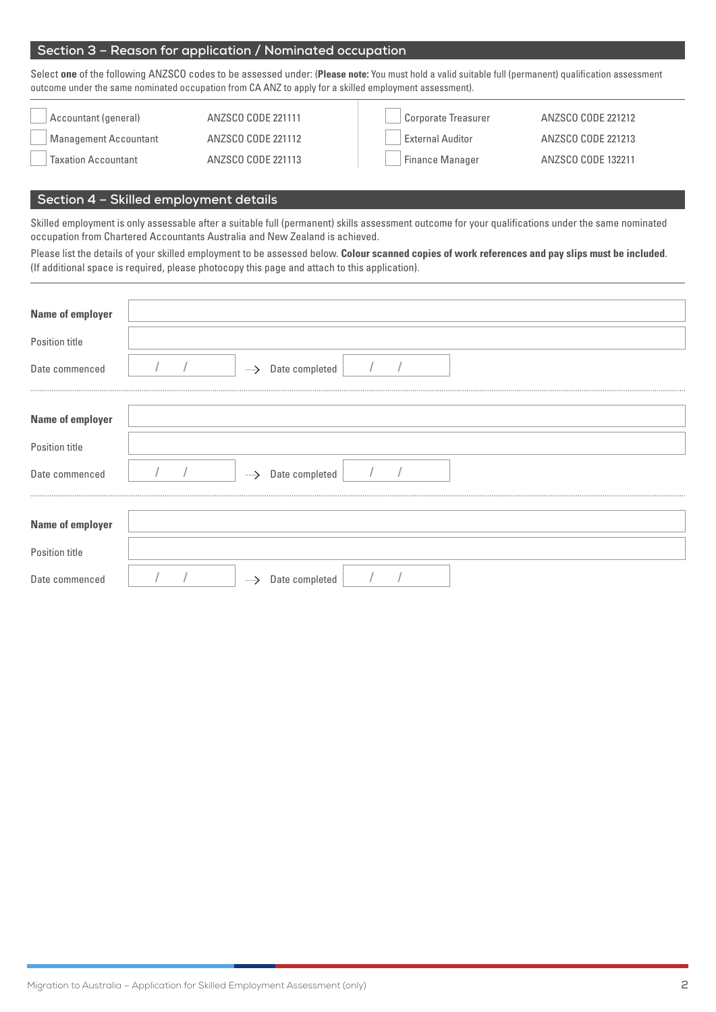# **Section 3 – Reason for application / Nominated occupation**

Select **one** of the following ANZSCO codes to be assessed under: (**Please note:** You must hold a valid suitable full (permanent) qualification assessment outcome under the same nominated occupation from CA ANZ to apply for a skilled employment assessment).

| Accountant (general)         | ANZSCO CODE 221111 | Corporate Treasurer     | ANZSCO CODE 221212 |
|------------------------------|--------------------|-------------------------|--------------------|
| <b>Management Accountant</b> | ANZSCO CODE 221112 | <b>External Auditor</b> | ANZSCO CODE 221213 |
| <b>Taxation Accountant</b>   | ANZSCO CODE 221113 | <b>Finance Manager</b>  | ANZSCO CODE 132211 |

# **Section 4 – Skilled employment details**

Skilled employment is only assessable after a suitable full (permanent) skills assessment outcome for your qualifications under the same nominated occupation from Chartered Accountants Australia and New Zealand is achieved.

Please list the details of your skilled employment to be assessed below. **Colour scanned copies of work references and pay slips must be included**. (If additional space is required, please photocopy this page and attach to this application).

| <b>Name of employer</b> |  |    |                       |  |  |
|-------------------------|--|----|-----------------------|--|--|
| Position title          |  |    |                       |  |  |
| Date commenced          |  |    | -----> Date completed |  |  |
|                         |  |    |                       |  |  |
| <b>Name of employer</b> |  |    |                       |  |  |
| Position title          |  |    |                       |  |  |
| Date commenced          |  |    | -----> Date completed |  |  |
|                         |  |    |                       |  |  |
| <b>Name of employer</b> |  |    |                       |  |  |
| Position title          |  |    |                       |  |  |
| Date commenced          |  | —→ | Date completed        |  |  |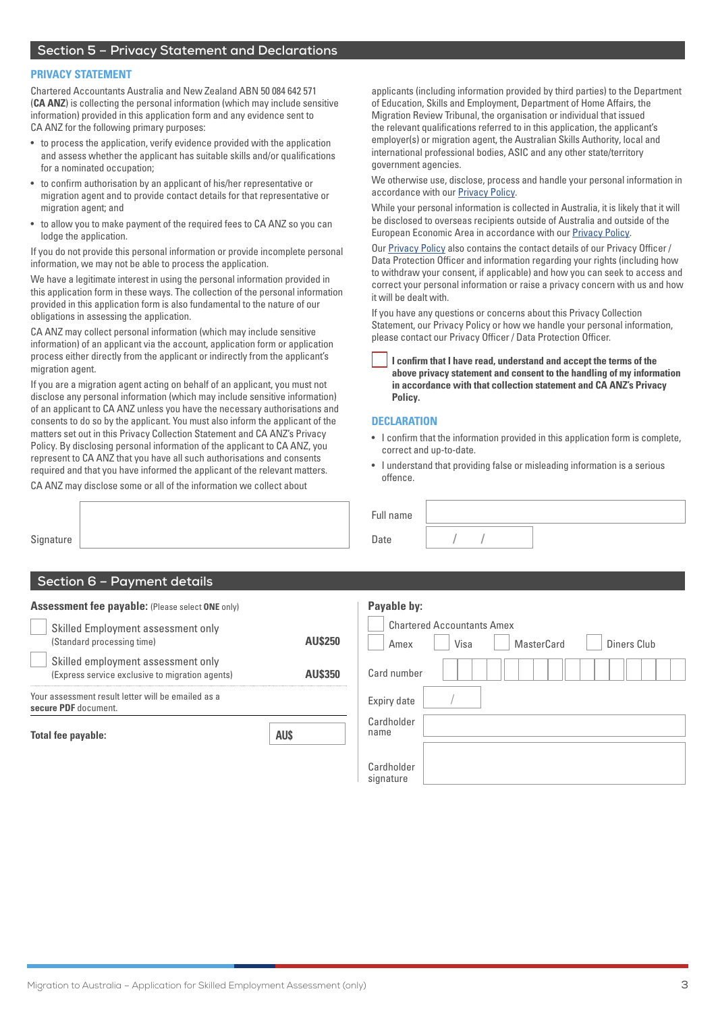# **Section 5 – Privacy Statement and Declarations**

#### **PRIVACY STATEMENT**

Chartered Accountants Australia and New Zealand ABN 50 084 642 571 (**CA ANZ**) is collecting the personal information (which may include sensitive information) provided in this application form and any evidence sent to CA ANZ for the following primary purposes:

- to process the application, verify evidence provided with the application and assess whether the applicant has suitable skills and/or qualifications for a nominated occupation;
- to confirm authorisation by an applicant of his/her representative or migration agent and to provide contact details for that representative or migration agent; and
- to allow you to make payment of the required fees to CA ANZ so you can lodge the application.

If you do not provide this personal information or provide incomplete personal information, we may not be able to process the application.

We have a legitimate interest in using the personal information provided in this application form in these ways. The collection of the personal information provided in this application form is also fundamental to the nature of our obligations in assessing the application.

CA ANZ may collect personal information (which may include sensitive information) of an applicant via the account, application form or application process either directly from the applicant or indirectly from the applicant's migration agent

If you are a migration agent acting on behalf of an applicant, you must not disclose any personal information (which may include sensitive information) of an applicant to CA ANZ unless you have the necessary authorisations and consents to do so by the applicant. You must also inform the applicant of the matters set out in this Privacy Collection Statement and CA ANZ's Privacy Policy. By disclosing personal information of the applicant to CA ANZ, you represent to CA ANZ that you have all such authorisations and consents required and that you have informed the applicant of the relevant matters.

CA ANZ may disclose some or all of the information we collect about

applicants (including information provided by third parties) to the Department of Education, Skills and Employment, Department of Home Affairs, the Migration Review Tribunal, the organisation or individual that issued the relevant qualifications referred to in this application, the applicant's employer(s) or migration agent, the Australian Skills Authority, local and international professional bodies, ASIC and any other state/territory government agencies.

We otherwise use, disclose, process and handle your personal information in accordance with our [Privacy Policy](https://www.charteredaccountantsanz.com/privacy-policy).

While your personal information is collected in Australia, it is likely that it will be disclosed to overseas recipients outside of Australia and outside of the European Economic Area in accordance with our [Privacy Policy.](https://www.charteredaccountantsanz.com/privacy-policy)

Our [Privacy Policy](https://www.charteredaccountantsanz.com/privacy-policy) also contains the contact details of our Privacy Officer / Data Protection Officer and information regarding your rights (including how to withdraw your consent, if applicable) and how you can seek to access and correct your personal information or raise a privacy concern with us and how it will be dealt with.

If you have any questions or concerns about this Privacy Collection Statement, our Privacy Policy or how we handle your personal information, please contact our Privacy Officer / Data Protection Officer.

**I confirm that I have read, understand and accept the terms of the above privacy statement and consent to the handling of my information in accordance with that collection statement and CA ANZ's Privacy Policy.**

#### **DECLARATION**

Full name

Date **/ /** 

- I confirm that the information provided in this application form is complete, correct and up-to-date.
- I understand that providing false or misleading information is a serious offence.

**Signature** 

# **Section 6 – Payment details**

| <b>Assessment fee payable: (Please select ONE only)</b>                               |                | Payable by:                                                                    |  |  |  |  |
|---------------------------------------------------------------------------------------|----------------|--------------------------------------------------------------------------------|--|--|--|--|
| Skilled Employment assessment only<br>(Standard processing time)                      | <b>AU\$250</b> | <b>Chartered Accountants Amex</b><br>Visa<br>MasterCard<br>Diners Club<br>Amex |  |  |  |  |
| Skilled employment assessment only<br>(Express service exclusive to migration agents) | <b>AU\$350</b> | Card number                                                                    |  |  |  |  |
| Your assessment result letter will be emailed as a<br>secure PDF document.            |                | Expiry date                                                                    |  |  |  |  |
| Total fee payable:                                                                    | <b>AU\$</b>    | Cardholder<br>name                                                             |  |  |  |  |
|                                                                                       |                | Cardholder                                                                     |  |  |  |  |

signature